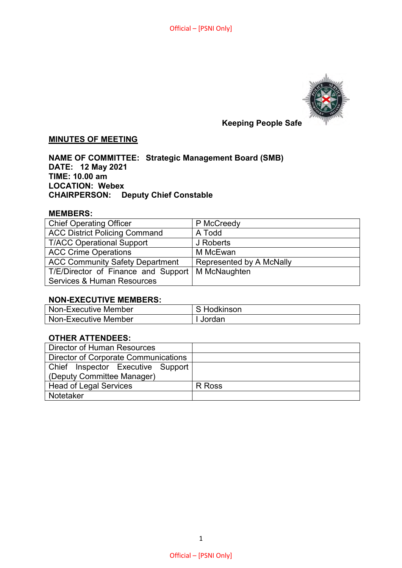

# **MINUTES OF MEETING**

**NAME OF COMMITTEE: Strategic Management Board (SMB) DATE: 12 May 2021 TIME: 10.00 am LOCATION: Webex CHAIRPERSON: Deputy Chief Constable** 

#### **MEMBERS:**

| <b>Chief Operating Officer</b>                     | P McCreedy               |
|----------------------------------------------------|--------------------------|
| <b>ACC District Policing Command</b>               | A Todd                   |
| <b>T/ACC Operational Support</b>                   | J Roberts                |
| <b>ACC Crime Operations</b>                        | M McEwan                 |
| <b>ACC Community Safety Department</b>             | Represented by A McNally |
| T/E/Director of Finance and Support   M McNaughten |                          |
| <b>Services &amp; Human Resources</b>              |                          |

#### **NON-EXECUTIVE MEMBERS:**

| Non-Executive Member | Hodkinson |
|----------------------|-----------|
| Non-Executive Member | Jordan    |

### **OTHER ATTENDEES:**

| Director of Human Resources          |        |
|--------------------------------------|--------|
| Director of Corporate Communications |        |
| Chief Inspector Executive Support    |        |
| (Deputy Committee Manager)           |        |
| Head of Legal Services               | R Ross |
| Notetaker                            |        |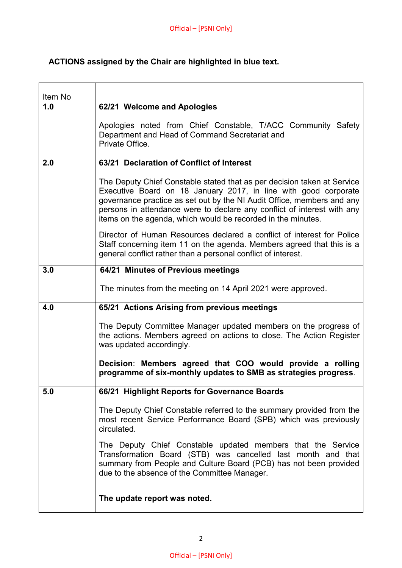## **ACTIONS assigned by the Chair are highlighted in blue text.**

| Item No |                                                                                                                                                                                                                                                                                                                                                                 |
|---------|-----------------------------------------------------------------------------------------------------------------------------------------------------------------------------------------------------------------------------------------------------------------------------------------------------------------------------------------------------------------|
| 1.0     | 62/21 Welcome and Apologies                                                                                                                                                                                                                                                                                                                                     |
|         | Apologies noted from Chief Constable, T/ACC Community Safety<br>Department and Head of Command Secretariat and<br>Private Office.                                                                                                                                                                                                                               |
| 2.0     | 63/21 Declaration of Conflict of Interest                                                                                                                                                                                                                                                                                                                       |
|         | The Deputy Chief Constable stated that as per decision taken at Service<br>Executive Board on 18 January 2017, in line with good corporate<br>governance practice as set out by the NI Audit Office, members and any<br>persons in attendance were to declare any conflict of interest with any<br>items on the agenda, which would be recorded in the minutes. |
|         | Director of Human Resources declared a conflict of interest for Police<br>Staff concerning item 11 on the agenda. Members agreed that this is a<br>general conflict rather than a personal conflict of interest.                                                                                                                                                |
| 3.0     | 64/21 Minutes of Previous meetings                                                                                                                                                                                                                                                                                                                              |
|         | The minutes from the meeting on 14 April 2021 were approved.                                                                                                                                                                                                                                                                                                    |
| 4.0     | 65/21 Actions Arising from previous meetings                                                                                                                                                                                                                                                                                                                    |
|         | The Deputy Committee Manager updated members on the progress of<br>the actions. Members agreed on actions to close. The Action Register<br>was updated accordingly.                                                                                                                                                                                             |
|         | Decision: Members agreed that COO would provide a rolling<br>programme of six-monthly updates to SMB as strategies progress.                                                                                                                                                                                                                                    |
| 5.0     | 66/21 Highlight Reports for Governance Boards                                                                                                                                                                                                                                                                                                                   |
|         | The Deputy Chief Constable referred to the summary provided from the<br>most recent Service Performance Board (SPB) which was previously<br>circulated.                                                                                                                                                                                                         |
|         | The Deputy Chief Constable updated members that the Service<br>Transformation Board (STB) was cancelled last month and that<br>summary from People and Culture Board (PCB) has not been provided<br>due to the absence of the Committee Manager.                                                                                                                |
|         | The update report was noted.                                                                                                                                                                                                                                                                                                                                    |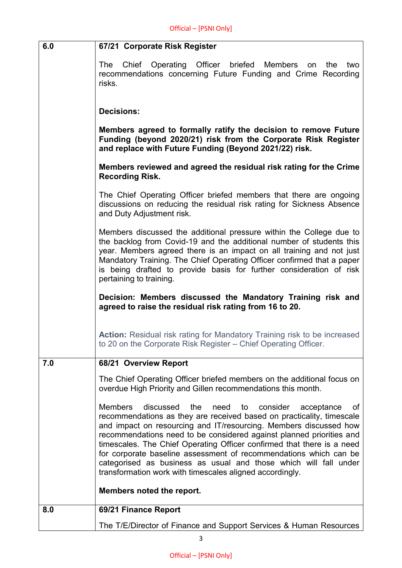| 6.0 | 67/21 Corporate Risk Register                                                                                                                                                                                                                                                                                                                                                                                                                                                                                                                                                         |
|-----|---------------------------------------------------------------------------------------------------------------------------------------------------------------------------------------------------------------------------------------------------------------------------------------------------------------------------------------------------------------------------------------------------------------------------------------------------------------------------------------------------------------------------------------------------------------------------------------|
|     | Chief Operating Officer briefed Members<br>The<br>two<br>on<br>the<br>recommendations concerning Future Funding and Crime Recording<br>risks.                                                                                                                                                                                                                                                                                                                                                                                                                                         |
|     | <b>Decisions:</b>                                                                                                                                                                                                                                                                                                                                                                                                                                                                                                                                                                     |
|     | Members agreed to formally ratify the decision to remove Future<br>Funding (beyond 2020/21) risk from the Corporate Risk Register<br>and replace with Future Funding (Beyond 2021/22) risk.                                                                                                                                                                                                                                                                                                                                                                                           |
|     | Members reviewed and agreed the residual risk rating for the Crime<br><b>Recording Risk.</b>                                                                                                                                                                                                                                                                                                                                                                                                                                                                                          |
|     | The Chief Operating Officer briefed members that there are ongoing<br>discussions on reducing the residual risk rating for Sickness Absence<br>and Duty Adjustment risk.                                                                                                                                                                                                                                                                                                                                                                                                              |
|     | Members discussed the additional pressure within the College due to<br>the backlog from Covid-19 and the additional number of students this<br>year. Members agreed there is an impact on all training and not just<br>Mandatory Training. The Chief Operating Officer confirmed that a paper<br>is being drafted to provide basis for further consideration of risk<br>pertaining to training.                                                                                                                                                                                       |
|     | Decision: Members discussed the Mandatory Training risk and<br>agreed to raise the residual risk rating from 16 to 20.                                                                                                                                                                                                                                                                                                                                                                                                                                                                |
|     | <b>Action:</b> Residual risk rating for Mandatory Training risk to be increased<br>to 20 on the Corporate Risk Register - Chief Operating Officer.                                                                                                                                                                                                                                                                                                                                                                                                                                    |
| 7.0 | 68/21 Overview Report                                                                                                                                                                                                                                                                                                                                                                                                                                                                                                                                                                 |
|     | The Chief Operating Officer briefed members on the additional focus on<br>overdue High Priority and Gillen recommendations this month.                                                                                                                                                                                                                                                                                                                                                                                                                                                |
|     | <b>Members</b><br>discussed<br>the<br>need<br>to<br>consider<br>of<br>acceptance<br>recommendations as they are received based on practicality, timescale<br>and impact on resourcing and IT/resourcing. Members discussed how<br>recommendations need to be considered against planned priorities and<br>timescales. The Chief Operating Officer confirmed that there is a need<br>for corporate baseline assessment of recommendations which can be<br>categorised as business as usual and those which will fall under<br>transformation work with timescales aligned accordingly. |
|     | Members noted the report.                                                                                                                                                                                                                                                                                                                                                                                                                                                                                                                                                             |
| 8.0 | 69/21 Finance Report                                                                                                                                                                                                                                                                                                                                                                                                                                                                                                                                                                  |
|     | The T/E/Director of Finance and Support Services & Human Resources                                                                                                                                                                                                                                                                                                                                                                                                                                                                                                                    |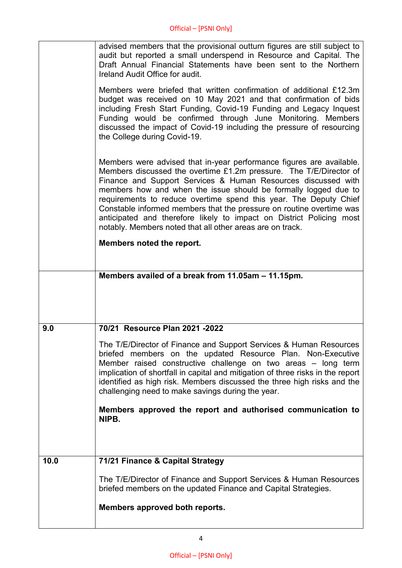|      | advised members that the provisional outturn figures are still subject to<br>audit but reported a small underspend in Resource and Capital. The<br>Draft Annual Financial Statements have been sent to the Northern<br>Ireland Audit Office for audit.                                                                                                                                                                                                                                                                                                           |
|------|------------------------------------------------------------------------------------------------------------------------------------------------------------------------------------------------------------------------------------------------------------------------------------------------------------------------------------------------------------------------------------------------------------------------------------------------------------------------------------------------------------------------------------------------------------------|
|      | Members were briefed that written confirmation of additional £12.3m<br>budget was received on 10 May 2021 and that confirmation of bids<br>including Fresh Start Funding, Covid-19 Funding and Legacy Inquest<br>Funding would be confirmed through June Monitoring. Members<br>discussed the impact of Covid-19 including the pressure of resourcing<br>the College during Covid-19.                                                                                                                                                                            |
|      | Members were advised that in-year performance figures are available.<br>Members discussed the overtime £1.2m pressure. The T/E/Director of<br>Finance and Support Services & Human Resources discussed with<br>members how and when the issue should be formally logged due to<br>requirements to reduce overtime spend this year. The Deputy Chief<br>Constable informed members that the pressure on routine overtime was<br>anticipated and therefore likely to impact on District Policing most<br>notably. Members noted that all other areas are on track. |
|      | Members noted the report.                                                                                                                                                                                                                                                                                                                                                                                                                                                                                                                                        |
|      | Members availed of a break from 11.05am - 11.15pm.                                                                                                                                                                                                                                                                                                                                                                                                                                                                                                               |
|      |                                                                                                                                                                                                                                                                                                                                                                                                                                                                                                                                                                  |
| 9.0  | 70/21 Resource Plan 2021 -2022                                                                                                                                                                                                                                                                                                                                                                                                                                                                                                                                   |
|      | The T/E/Director of Finance and Support Services & Human Resources<br>briefed members on the updated Resource Plan. Non-Executive<br>Member raised constructive challenge on two areas - long term<br>implication of shortfall in capital and mitigation of three risks in the report<br>identified as high risk. Members discussed the three high risks and the<br>challenging need to make savings during the year.                                                                                                                                            |
|      | Members approved the report and authorised communication to<br>NIPB.                                                                                                                                                                                                                                                                                                                                                                                                                                                                                             |
|      |                                                                                                                                                                                                                                                                                                                                                                                                                                                                                                                                                                  |
| 10.0 | 71/21 Finance & Capital Strategy                                                                                                                                                                                                                                                                                                                                                                                                                                                                                                                                 |
|      | The T/E/Director of Finance and Support Services & Human Resources<br>briefed members on the updated Finance and Capital Strategies.                                                                                                                                                                                                                                                                                                                                                                                                                             |
|      | Members approved both reports.                                                                                                                                                                                                                                                                                                                                                                                                                                                                                                                                   |
|      |                                                                                                                                                                                                                                                                                                                                                                                                                                                                                                                                                                  |